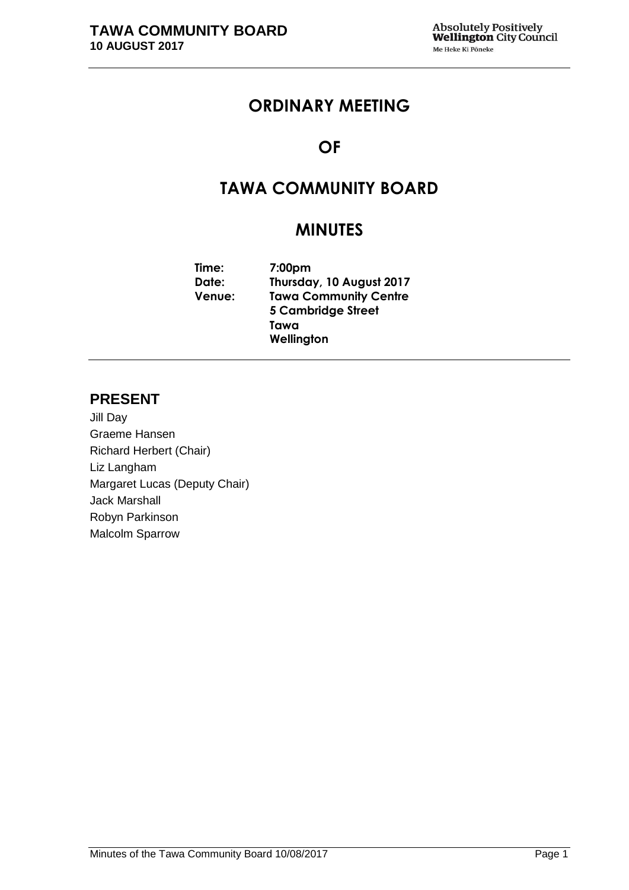## **ORDINARY MEETING**

## **OF**

## **TAWA COMMUNITY BOARD**

## **MINUTES**

**Time: 7:00pm Date: Thursday, 10 August 2017 Venue: Tawa Community Centre 5 Cambridge Street Tawa Wellington**

## **PRESENT**

Jill Day Graeme Hansen Richard Herbert (Chair) Liz Langham Margaret Lucas (Deputy Chair) Jack Marshall Robyn Parkinson Malcolm Sparrow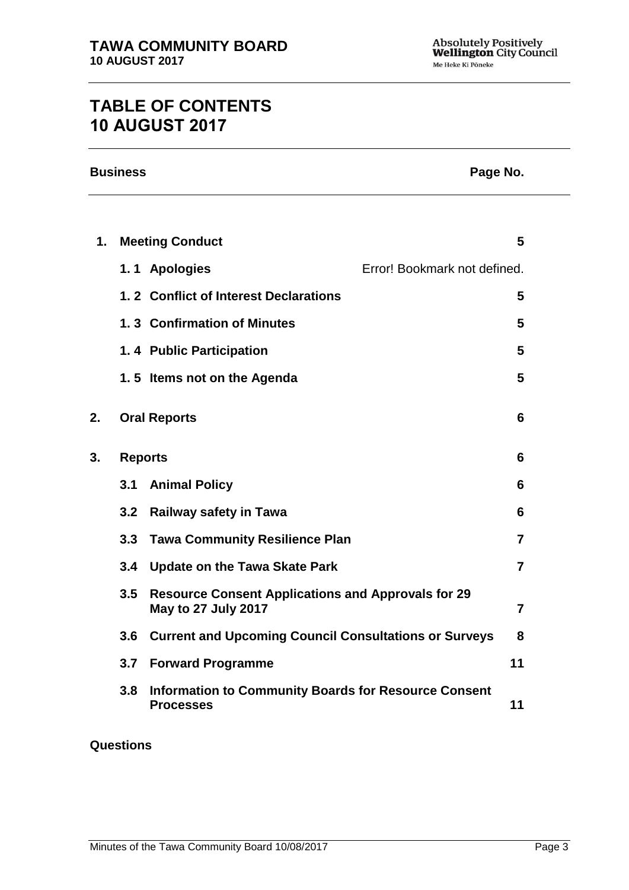# **TABLE OF CONTENTS 10 AUGUST 2017**

| <b>Business</b><br>Page No. |                |                                                                                         |                              |                |
|-----------------------------|----------------|-----------------------------------------------------------------------------------------|------------------------------|----------------|
|                             |                |                                                                                         |                              |                |
| 1.                          |                | <b>Meeting Conduct</b>                                                                  |                              | 5              |
|                             |                | 1.1 Apologies                                                                           | Error! Bookmark not defined. |                |
|                             |                | 1.2 Conflict of Interest Declarations                                                   |                              | 5              |
|                             |                | 1.3 Confirmation of Minutes                                                             |                              | 5              |
|                             |                | 1.4 Public Participation                                                                |                              | 5              |
|                             |                | 1.5 Items not on the Agenda                                                             |                              | 5              |
| 2.                          |                | <b>Oral Reports</b>                                                                     |                              | 6              |
| 3.                          | <b>Reports</b> |                                                                                         |                              | 6              |
|                             |                | 3.1 Animal Policy                                                                       |                              | 6              |
|                             | 3.2            | <b>Railway safety in Tawa</b>                                                           |                              | 6              |
|                             | 3.3            | <b>Tawa Community Resilience Plan</b>                                                   |                              | 7              |
|                             | 3.4            | <b>Update on the Tawa Skate Park</b>                                                    |                              | 7              |
|                             | 3.5            | <b>Resource Consent Applications and Approvals for 29</b><br><b>May to 27 July 2017</b> |                              | $\overline{7}$ |
|                             | 3.6            | <b>Current and Upcoming Council Consultations or Surveys</b>                            |                              | 8              |
|                             | 3.7            | <b>Forward Programme</b>                                                                |                              | 11             |
|                             | 3.8            | <b>Information to Community Boards for Resource Consent</b><br><b>Processes</b>         |                              | 11             |

#### **Questions**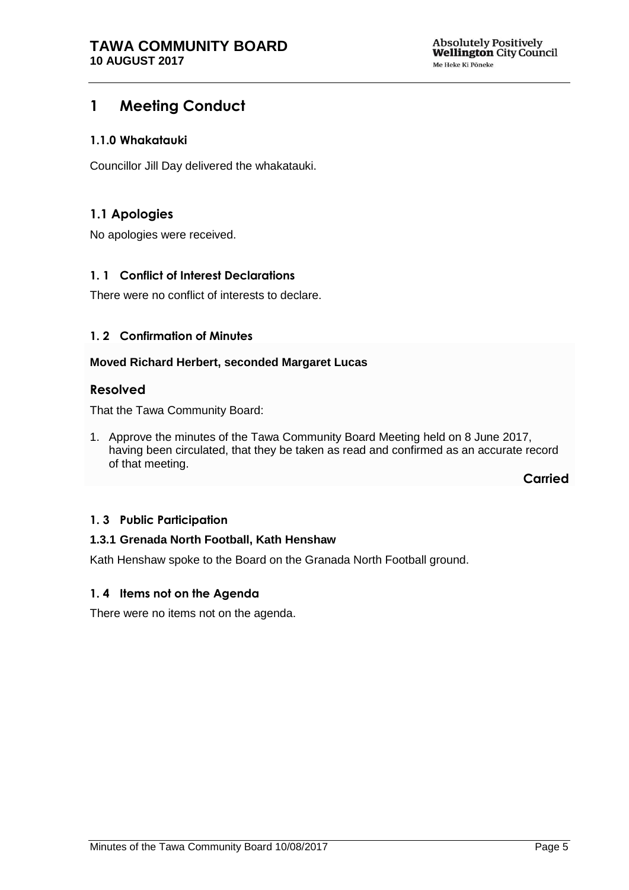## **1 Meeting Conduct**

#### **1.1.0 Whakatauki**

Councillor Jill Day delivered the whakatauki.

## **1.1 Apologies**

No apologies were received.

#### <span id="page-4-0"></span>**1. 1 Conflict of Interest Declarations**

There were no conflict of interests to declare.

#### <span id="page-4-1"></span>**1. 2 Confirmation of Minutes**

#### **Moved Richard Herbert, seconded Margaret Lucas**

#### **Resolved**

That the Tawa Community Board:

1. Approve the minutes of the Tawa Community Board Meeting held on 8 June 2017, having been circulated, that they be taken as read and confirmed as an accurate record of that meeting.

**Carried**

#### <span id="page-4-3"></span>**1. 3 Public Participation**

#### **1.3.1 Grenada North Football, Kath Henshaw**

Kath Henshaw spoke to the Board on the Granada North Football ground.

#### <span id="page-4-2"></span>**1. 4 Items not on the Agenda**

There were no items not on the agenda.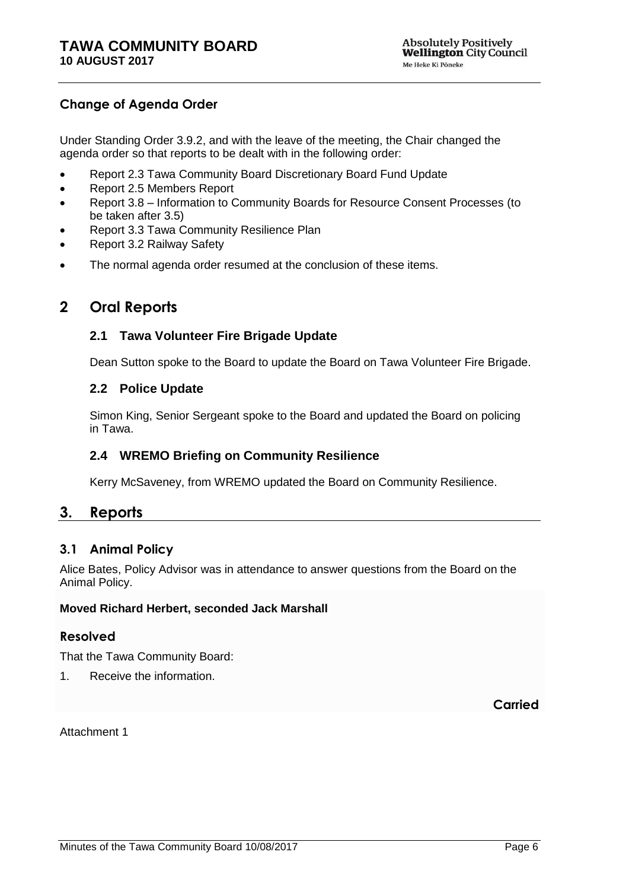## **Change of Agenda Order**

Under Standing Order 3.9.2, and with the leave of the meeting, the Chair changed the agenda order so that reports to be dealt with in the following order:

- Report 2.3 Tawa Community Board Discretionary Board Fund Update
- Report 2.5 Members Report
- Report 3.8 Information to Community Boards for Resource Consent Processes (to be taken after 3.5)
- Report 3.3 Tawa Community Resilience Plan
- Report 3.2 Railway Safety
- The normal agenda order resumed at the conclusion of these items.

## <span id="page-5-0"></span>**2 Oral Reports**

#### **2.1 Tawa Volunteer Fire Brigade Update**

Dean Sutton spoke to the Board to update the Board on Tawa Volunteer Fire Brigade.

#### **2.2 Police Update**

Simon King, Senior Sergeant spoke to the Board and updated the Board on policing in Tawa.

#### **2.4 WREMO Briefing on Community Resilience**

Kerry McSaveney, from WREMO updated the Board on Community Resilience.

## <span id="page-5-1"></span>**3. Reports**

#### <span id="page-5-2"></span>**3.1 Animal Policy**

Alice Bates, Policy Advisor was in attendance to answer questions from the Board on the Animal Policy.

#### **Moved Richard Herbert, seconded Jack Marshall**

#### **Resolved**

That the Tawa Community Board:

1. Receive the information.

**Carried**

<span id="page-5-3"></span>Attachment 1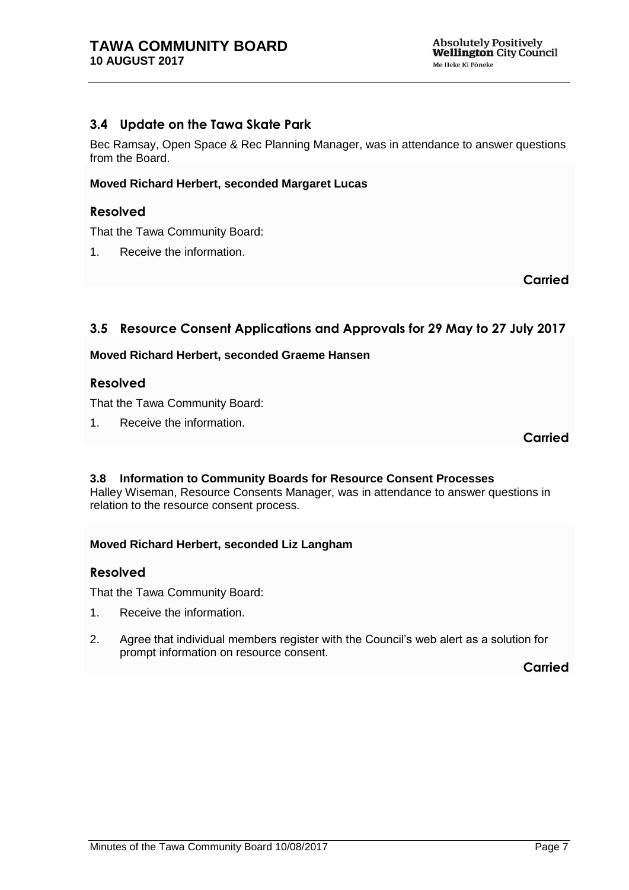## <span id="page-6-1"></span><span id="page-6-0"></span>**3.4 Update on the Tawa Skate Park**

Bec Ramsay, Open Space & Rec Planning Manager, was in attendance to answer questions from the Board.

#### **Moved Richard Herbert, seconded Margaret Lucas**

#### **Resolved**

That the Tawa Community Board:

1. Receive the information.

**Carried**

## <span id="page-6-2"></span>**3.5 Resource Consent Applications and Approvals for 29 May to 27 July 2017**

#### **Moved Richard Herbert, seconded Graeme Hansen**

#### **Resolved**

That the Tawa Community Board:

1. Receive the information.

**Carried**

## **3.8 Information to Community Boards for Resource Consent Processes**

Halley Wiseman, Resource Consents Manager, was in attendance to answer questions in relation to the resource consent process.

#### **Moved Richard Herbert, seconded Liz Langham**

#### **Resolved**

That the Tawa Community Board:

- 1. Receive the information.
- 2. Agree that individual members register with the Council's web alert as a solution for prompt information on resource consent.

**Carried**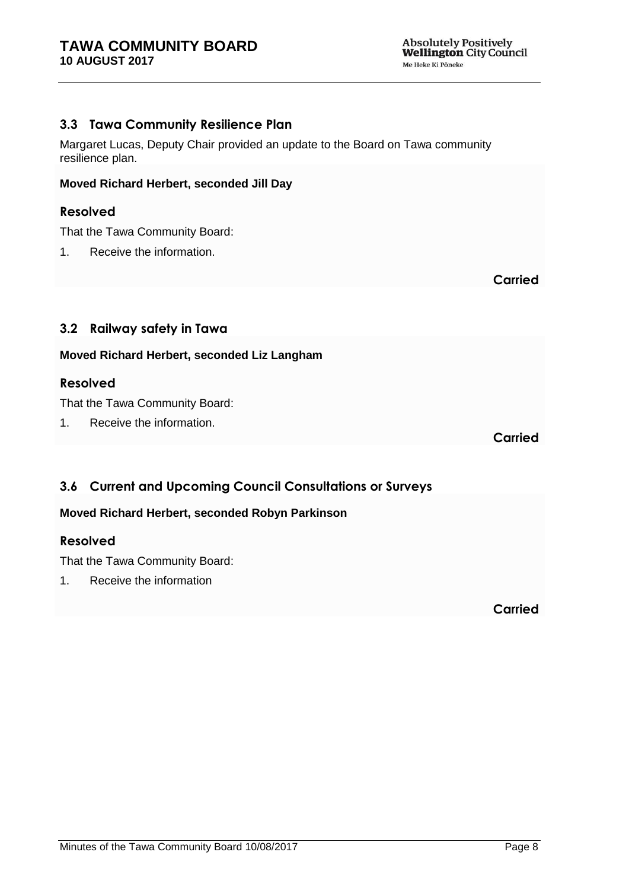## **3.3 Tawa Community Resilience Plan**

Margaret Lucas, Deputy Chair provided an update to the Board on Tawa community resilience plan.

#### **Moved Richard Herbert, seconded Jill Day**

### **Resolved**

That the Tawa Community Board:

1. Receive the information.

**Carried**

## **3.2 Railway safety in Tawa**

## **Moved Richard Herbert, seconded Liz Langham**

## **Resolved**

That the Tawa Community Board:

1. Receive the information.

**Carried**

## <span id="page-7-0"></span>**3.6 Current and Upcoming Council Consultations or Surveys**

## **Moved Richard Herbert, seconded Robyn Parkinson**

#### **Resolved**

That the Tawa Community Board:

1. Receive the information

**Carried**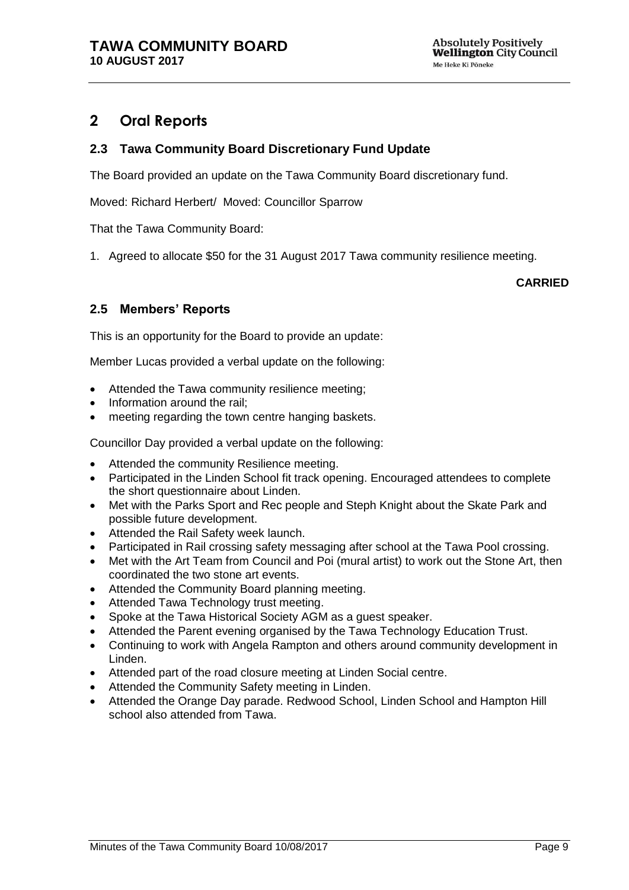## **2 Oral Reports**

## **2.3 Tawa Community Board Discretionary Fund Update**

The Board provided an update on the Tawa Community Board discretionary fund.

Moved: Richard Herbert/ Moved: Councillor Sparrow

That the Tawa Community Board:

1. Agreed to allocate \$50 for the 31 August 2017 Tawa community resilience meeting.

#### **CARRIED**

## **2.5 Members' Reports**

This is an opportunity for the Board to provide an update:

Member Lucas provided a verbal update on the following:

- Attended the Tawa community resilience meeting;
- Information around the rail;
- meeting regarding the town centre hanging baskets.

Councillor Day provided a verbal update on the following:

- Attended the community Resilience meeting.
- Participated in the Linden School fit track opening. Encouraged attendees to complete the short questionnaire about Linden.
- Met with the Parks Sport and Rec people and Steph Knight about the Skate Park and possible future development.
- Attended the Rail Safety week launch.
- Participated in Rail crossing safety messaging after school at the Tawa Pool crossing.
- Met with the Art Team from Council and Poi (mural artist) to work out the Stone Art, then coordinated the two stone art events.
- Attended the Community Board planning meeting.
- Attended Tawa Technology trust meeting.
- Spoke at the Tawa Historical Society AGM as a guest speaker.
- Attended the Parent evening organised by the Tawa Technology Education Trust.
- Continuing to work with Angela Rampton and others around community development in Linden.
- Attended part of the road closure meeting at Linden Social centre.
- Attended the Community Safety meeting in Linden.
- Attended the Orange Day parade. Redwood School, Linden School and Hampton Hill school also attended from Tawa.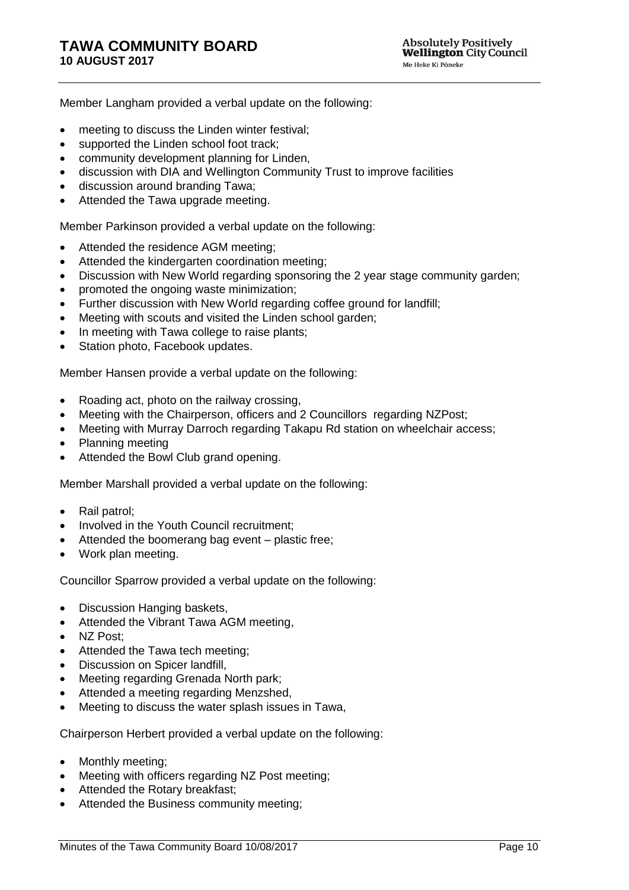Member Langham provided a verbal update on the following:

- meeting to discuss the Linden winter festival;
- supported the Linden school foot track;
- community development planning for Linden,
- discussion with DIA and Wellington Community Trust to improve facilities
- discussion around branding Tawa:
- Attended the Tawa upgrade meeting.

Member Parkinson provided a verbal update on the following:

- Attended the residence AGM meeting;
- Attended the kindergarten coordination meeting;
- Discussion with New World regarding sponsoring the 2 year stage community garden;
- promoted the ongoing waste minimization;
- Further discussion with New World regarding coffee ground for landfill;
- Meeting with scouts and visited the Linden school garden;
- In meeting with Tawa college to raise plants;
- Station photo, Facebook updates.

Member Hansen provide a verbal update on the following:

- Roading act, photo on the railway crossing,
- Meeting with the Chairperson, officers and 2 Councillors regarding NZPost;
- Meeting with Murray Darroch regarding Takapu Rd station on wheelchair access;
- Planning meeting
- Attended the Bowl Club grand opening.

Member Marshall provided a verbal update on the following:

- Rail patrol;
- Involved in the Youth Council recruitment:
- Attended the boomerang bag event plastic free;
- Work plan meeting.

Councillor Sparrow provided a verbal update on the following:

- Discussion Hanging baskets,
- Attended the Vibrant Tawa AGM meeting.
- NZ Post:
- Attended the Tawa tech meeting;
- Discussion on Spicer landfill,
- Meeting regarding Grenada North park;
- Attended a meeting regarding Menzshed,
- Meeting to discuss the water splash issues in Tawa,

Chairperson Herbert provided a verbal update on the following:

- Monthly meeting;
- Meeting with officers regarding NZ Post meeting;
- Attended the Rotary breakfast;
- Attended the Business community meeting;